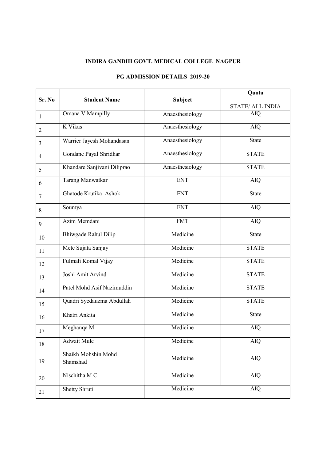## INDIRA GANDHI GOVT. MEDICAL COLLEGE NAGPUR

|                |                                 |                 | Quota                   |
|----------------|---------------------------------|-----------------|-------------------------|
| Sr. No         | <b>Student Name</b>             | Subject         | <b>STATE/ ALL INDIA</b> |
| $\mathbf{1}$   | Omana V Mampilly                | Anaesthesiology | AIQ                     |
| $\overline{2}$ | K Vikas                         | Anaesthesiology | <b>AIQ</b>              |
| 3              | Warrier Jayesh Mohandasan       | Anaesthesiology | <b>State</b>            |
| $\overline{4}$ | Gondane Payal Shridhar          | Anaesthesiology | <b>STATE</b>            |
| 5              | Khandare Sanjivani Diliprao     | Anaesthesiology | <b>STATE</b>            |
| 6              | Tarang Manwatkar                | <b>ENT</b>      | <b>AIQ</b>              |
| $\tau$         | Ghatode Krutika Ashok           | <b>ENT</b>      | <b>State</b>            |
| 8              | Soumya                          | <b>ENT</b>      | <b>AIQ</b>              |
| 9              | Azim Memdani                    | <b>FMT</b>      | <b>AIQ</b>              |
| 10             | Bhiwgade Rahul Dilip            | Medicine        | <b>State</b>            |
| 11             | Mete Sujata Sanjay              | Medicine        | <b>STATE</b>            |
| 12             | Fulmali Komal Vijay             | Medicine        | <b>STATE</b>            |
| 13             | Joshi Amit Arvind               | Medicine        | <b>STATE</b>            |
| 14             | Patel Mohd Asif Nazimuddin      | Medicine        | <b>STATE</b>            |
| 15             | Quadri Syedauzma Abdullah       | Medicine        | <b>STATE</b>            |
| 16             | Khatri Ankita                   | Medicine        | <b>State</b>            |
| 17             | Meghanqa M                      | Medicine        | <b>AIQ</b>              |
| 18             | <b>Adwait Mule</b>              | Medicine        | <b>AIQ</b>              |
| 19             | Shaikh Mohshin Mohd<br>Shamshad | Medicine        | <b>AIQ</b>              |
| 20             | Nischitha M C                   | Medicine        | <b>AIQ</b>              |
| 21             | Shetty Shruti                   | Medicine        | <b>AIQ</b>              |

## PG ADMISSION DETAILS 2019-20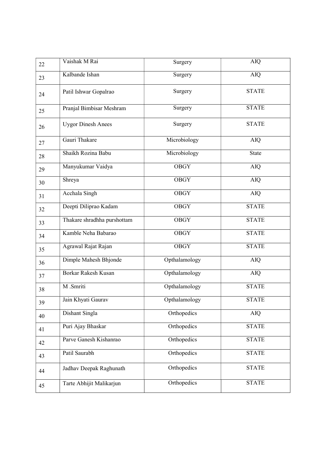| 22 | Vaishak M Rai               | Surgery       | <b>AIQ</b>   |
|----|-----------------------------|---------------|--------------|
| 23 | Kalbande Ishan              | Surgery       | <b>AIQ</b>   |
| 24 | Patil Ishwar Gopalrao       | Surgery       | <b>STATE</b> |
| 25 | Pranjal Bimbisar Meshram    | Surgery       | <b>STATE</b> |
| 26 | <b>Uygor Dinesh Anees</b>   | Surgery       | <b>STATE</b> |
| 27 | Gauri Thakare               | Microbiology  | <b>AIQ</b>   |
| 28 | Shaikh Rozina Babu          | Microbiology  | <b>State</b> |
| 29 | Manyukumar Vaidya           | <b>OBGY</b>   | <b>AIQ</b>   |
| 30 | Shreya                      | <b>OBGY</b>   | <b>AIQ</b>   |
| 31 | Acchala Singh               | <b>OBGY</b>   | AIQ          |
| 32 | Deepti Diliprao Kadam       | <b>OBGY</b>   | <b>STATE</b> |
| 33 | Thakare shradhha purshottam | <b>OBGY</b>   | <b>STATE</b> |
| 34 | Kamble Neha Babarao         | <b>OBGY</b>   | <b>STATE</b> |
| 35 | Agrawal Rajat Rajan         | <b>OBGY</b>   | <b>STATE</b> |
| 36 | Dimple Mahesh Bhjonde       | Opthalamology | <b>AIQ</b>   |
| 37 | <b>Borkar Rakesh Kusan</b>  | Opthalamology | AIQ          |
| 38 | M.Smriti                    | Opthalamology | <b>STATE</b> |
| 39 | Jain Khyati Gaurav          | Opthalamology | <b>STATE</b> |
| 40 | Dishant Singla              | Orthopedics   | AIQ          |
| 41 | Puri Ajay Bhaskar           | Orthopedics   | <b>STATE</b> |
| 42 | Parve Ganesh Kishanrao      | Orthopedics   | <b>STATE</b> |
| 43 | Patil Saurabh               | Orthopedics   | <b>STATE</b> |
| 44 | Jadhav Deepak Raghunath     | Orthopedics   | <b>STATE</b> |
| 45 | Tarte Abhijit Malikarjun    | Orthopedics   | <b>STATE</b> |